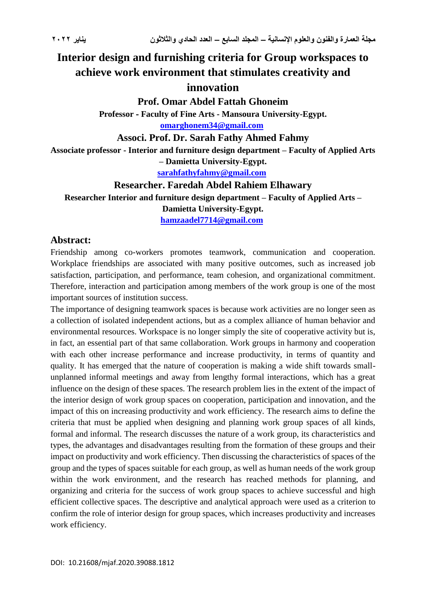# **Interior design and furnishing criteria for Group workspaces to achieve work environment that stimulates creativity and innovation**

**Prof. Omar Abdel Fattah Ghoneim**

**Professor - Faculty of Fine Arts - Mansoura University-Egypt. [omarghonem34@gmail.com](mailto:omarghonem34@gmail.com)**

**Associ. Prof. Dr. Sarah Fathy Ahmed Fahmy**

**Associate professor - Interior and furniture design department – Faculty of Applied Arts** 

**– Damietta University-Egypt.**

**[sarahfathyfahmy@gmail.com](mailto:sarahfathyfahmy@gmail.com)**

**Researcher. Faredah Abdel Rahiem Elhawary**

**Researcher Interior and furniture design department – Faculty of Applied Arts – Damietta University-Egypt.**

**[hamzaadel7714@gmail.com](mailto:hamzaadel7714@gmail.com)**

## **Abstract:**

Friendship among co-workers promotes teamwork, communication and cooperation. Workplace friendships are associated with many positive outcomes, such as increased job satisfaction, participation, and performance, team cohesion, and organizational commitment. Therefore, interaction and participation among members of the work group is one of the most important sources of institution success.

The importance of designing teamwork spaces is because work activities are no longer seen as a collection of isolated independent actions, but as a complex alliance of human behavior and environmental resources. Workspace is no longer simply the site of cooperative activity but is, in fact, an essential part of that same collaboration. Work groups in harmony and cooperation with each other increase performance and increase productivity, in terms of quantity and quality. It has emerged that the nature of cooperation is making a wide shift towards smallunplanned informal meetings and away from lengthy formal interactions, which has a great influence on the design of these spaces. The research problem lies in the extent of the impact of the interior design of work group spaces on cooperation, participation and innovation, and the impact of this on increasing productivity and work efficiency. The research aims to define the criteria that must be applied when designing and planning work group spaces of all kinds, formal and informal. The research discusses the nature of a work group, its characteristics and types, the advantages and disadvantages resulting from the formation of these groups and their impact on productivity and work efficiency. Then discussing the characteristics of spaces of the group and the types of spaces suitable for each group, as well as human needs of the work group within the work environment, and the research has reached methods for planning, and organizing and criteria for the success of work group spaces to achieve successful and high efficient collective spaces. The descriptive and analytical approach were used as a criterion to confirm the role of interior design for group spaces, which increases productivity and increases work efficiency.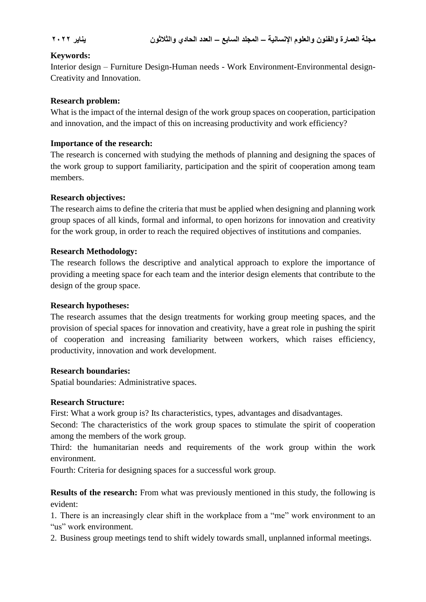### **Keywords:**

Interior design – Furniture Design-Human needs - Work Environment-Environmental design-Creativity and Innovation.

#### **Research problem:**

What is the impact of the internal design of the work group spaces on cooperation, participation and innovation, and the impact of this on increasing productivity and work efficiency?

### **Importance of the research:**

The research is concerned with studying the methods of planning and designing the spaces of the work group to support familiarity, participation and the spirit of cooperation among team members.

#### **Research objectives:**

The research aims to define the criteria that must be applied when designing and planning work group spaces of all kinds, formal and informal, to open horizons for innovation and creativity for the work group, in order to reach the required objectives of institutions and companies.

#### **Research Methodology:**

The research follows the descriptive and analytical approach to explore the importance of providing a meeting space for each team and the interior design elements that contribute to the design of the group space.

#### **Research hypotheses:**

The research assumes that the design treatments for working group meeting spaces, and the provision of special spaces for innovation and creativity, have a great role in pushing the spirit of cooperation and increasing familiarity between workers, which raises efficiency, productivity, innovation and work development.

#### **Research boundaries:**

Spatial boundaries: Administrative spaces.

#### **Research Structure:**

First: What a work group is? Its characteristics, types, advantages and disadvantages.

Second: The characteristics of the work group spaces to stimulate the spirit of cooperation among the members of the work group.

Third: the humanitarian needs and requirements of the work group within the work environment.

Fourth: Criteria for designing spaces for a successful work group.

**Results of the research:** From what was previously mentioned in this study, the following is evident:

1. There is an increasingly clear shift in the workplace from a "me" work environment to an "us" work environment.

2. Business group meetings tend to shift widely towards small, unplanned informal meetings.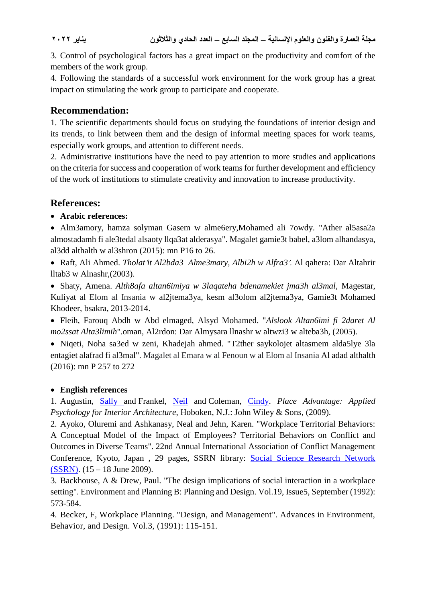3. Control of psychological factors has a great impact on the productivity and comfort of the members of the work group.

4. Following the standards of a successful work environment for the work group has a great impact on stimulating the work group to participate and cooperate.

## **Recommendation:**

1. The scientific departments should focus on studying the foundations of interior design and its trends, to link between them and the design of informal meeting spaces for work teams, especially work groups, and attention to different needs.

2. Administrative institutions have the need to pay attention to more studies and applications on the criteria for success and cooperation of work teams for further development and efficiency of the work of institutions to stimulate creativity and innovation to increase productivity.

## **References:**

## **Arabic references:**

 Alm3amory, hamza solyman Gasem w alme6ery,Mohamed ali 7owdy. "Ather al5asa2a almostadamh fi ale3tedal alsaoty llqa3at alderasya". Magalet gamie3t babel, a3lom alhandasya, al3dd althalth w al3shron (2015): mn P16 to 26.

 Raft, Ali Ahmed. *Tholatit Al2bda3 Alme3mary, Albi2h w Alfra3*. Al qahera: Dar Altahrir lltab3 w Alnashr,(2003).

 Shaty, Amena. *Alth8afa altan6imiya w 3laqateha bdenamekiet jma3h al3mal,* Magestar, Kuliyat al Elom al Insania w al2jtema3ya, kesm al3olom al2jtema3ya, Gamie3t Mohamed Khodeer, bsakra, 2013-2014.

 Fleih, Farouq Abdh w Abd elmaged, Alsyd Mohamed. "*Alslook Altan6imi fi 2daret Al mo2ssat Alta3limih*".oman, Al2rdon: Dar Almysara llnashr w altwzi3 w alteba3h, (2005).

 Niqeti, Noha sa3ed w zeni, Khadejah ahmed. "T2ther saykolojet altasmem alda5lye 3la entagiet alafrad fi al3mal". Magalet al Emara w al Fenoun w al Elom al Insania Al adad althalth (2016): mn P 257 to 272

## **English references**

1. Augustin, [Sally a](https://www.wiley.com/en-eg/search?pq=%7Crelevance%7Cauthor%3ASally+Augustin)nd Frankel, [Neil](https://www.wiley.com/en-eg/search?pq=%7Crelevance%7Cauthor%3ANeil+Frankel) and Coleman, [Cindy.](https://www.wiley.com/en-eg/search?pq=%7Crelevance%7Cauthor%3ACindy+Coleman) *Place Advantage: Applied Psychology for Interior Architecture*, Hoboken, N.J.: John Wiley & Sons, (2009).

2. Ayoko, Oluremi and Ashkanasy, Neal and Jehn, Karen. "Workplace Territorial Behaviors: A Conceptual Model of the Impact of Employees? Territorial Behaviors on Conflict and Outcomes in Diverse Teams". 22nd Annual International Association of Conflict Management Conference, Kyoto, Japan , 29 pages, SSRN library: [Social Science Research Network](https://espace.library.uq.edu.au/records/search?page=1&pageSize=20&sortBy=score&sortDirection=Desc&searchQueryParams%5Brek_publisher%5D%5Bvalue%5D=Social+Science+Research+Network+(SSRN)&searchMode=advanced)  [\(SSRN\).](https://espace.library.uq.edu.au/records/search?page=1&pageSize=20&sortBy=score&sortDirection=Desc&searchQueryParams%5Brek_publisher%5D%5Bvalue%5D=Social+Science+Research+Network+(SSRN)&searchMode=advanced) (15 – 18 June 2009).

3. Backhouse, A & Drew, Paul. "The design implications of social interaction in a workplace setting". Environment and Planning B: Planning and Design. Vol.19, Issue5, September (1992): 573-584.

4. Becker, F, Workplace Planning. "Design, and Management". Advances in Environment, Behavior, and Design. Vol.3, (1991): 115-151.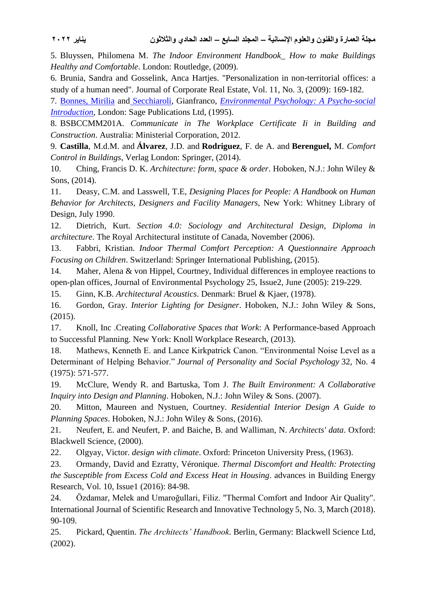5. Bluyssen, Philomena M. *The Indoor Environment Handbook\_ How to make Buildings Healthy and Comfortable*. London: Routledge, (2009).

6. Brunia, Sandra and Gosselink, Anca Hartjes. "Personalization in non-territorial offices: a study of a human need". Journal of Corporate Real Estate, Vol. 11, No. 3, (2009): 169-182.

7. [Bonnes,](https://libgen.is/search.php?req=Mirilia+Bonnes&column=author) Mirilia and [Secchiaroli,](https://libgen.is/search.php?req=+Gianfranco+Secchiaroli&column=author) Gianfranco, *[Environmental Psychology: A Psycho-social](https://libgen.is/book/index.php?md5=1A8C7C7065E7B7ED06619ED837879DD2)  [Introduction](https://libgen.is/book/index.php?md5=1A8C7C7065E7B7ED06619ED837879DD2)*, London: Sage Publications Ltd, (1995).

8. BSBCCMM201A. *Communicate in The Workplace Certificate Ii in Building and Construction*. Australia: Ministerial Corporation, 2012.

9. **Castilla**, M.d.M. and **Álvarez**, J.D. and **Rodriguez**, F. de A. and **Berenguel,** M. *Comfort Control in Buildings*, Verlag London: Springer, (2014).

10. Ching, Francis D. K. *Architecture: form, space & order*. Hoboken, N.J.: John Wiley & Sons, (2014).

11. Deasy, C.M. and Lasswell, T.E, *Designing Places for People: A Handbook on Human Behavior for Architects, Designers and Facility Managers,* New York: Whitney Library of Design, July 1990.

12. Dietrich, Kurt. *Section 4.0: Sociology and Architectural Design, Diploma in architecture*. The Royal Architectural institute of Canada, November (2006).

13. Fabbri, Kristian. *Indoor Thermal Comfort Perception: A Questionnaire Approach Focusing on Children*. Switzerland: Springer International Publishing, (2015).

14. Maher, Alena & von Hippel, Courtney, Individual differences in employee reactions to open-plan offices, Journal of Environmental Psychology 25, Issue2, June (2005): 219-229.

15. Ginn, K.B. *Architectural Acoustics*. Denmark: Bruel & Kjaer, (1978).

16. Gordon, Gray. *Interior Lighting for Designer*. Hoboken, N.J.: John Wiley & Sons, (2015).

17. Knoll, Inc .Creating *Collaborative Spaces that Work*: A Performance-based Approach to Successful Planning. New York: Knoll Workplace Research, (2013).

18. Mathews, Kenneth E. and Lance Kirkpatrick Canon. "Environmental Noise Level as a Determinant of Helping Behavior." *Journal of Personality and Social Psychology* 32, No. 4 (1975): 571-577.

19. McClure, Wendy R. and Bartuska, Tom J. *The Built Environment: A Collaborative Inquiry into Design and Planning*. Hoboken, N.J.: John Wiley & Sons. (2007).

20. Mitton, Maureen and Nystuen, Courtney. *Residential Interior Design A Guide to Planning Spaces*. Hoboken, N.J.: John Wiley & Sons, (2016).

21. Neufert, E. and Neufert, P. and Baiche, B. and Walliman, N. *Architects' data*. Oxford: Blackwell Science, (2000).

22. Olgyay, Victor. *design with climate*. Oxford: Princeton University Press, (1963).

23. Ormandy, David and Ezratty, Véronique. *Thermal Discomfort and Health: Protecting the Susceptible from Excess Cold and Excess Heat in Housing*. advances in Building Energy Research, Vol. 10, Issue1 (2016): 84-98.

24. Özdamar, Melek and Umaroğullari, Filiz. "Thermal Comfort and Indoor Air Quality". International Journal of Scientific Research and Innovative Technology 5, No. 3, March (2018). 90-109.

25. Pickard, Quentin. *The Architects' Handbook*. Berlin, Germany: Blackwell Science Ltd, (2002).